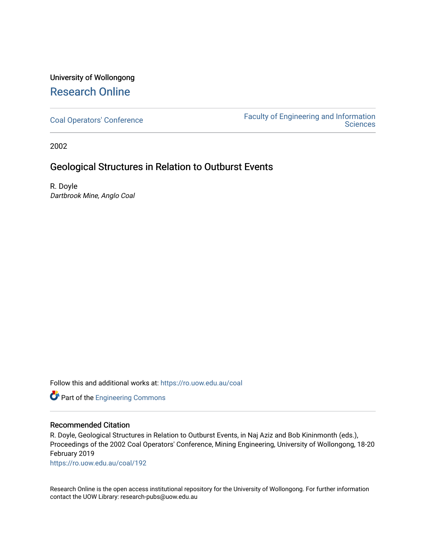# University of Wollongong [Research Online](https://ro.uow.edu.au/)

[Coal Operators' Conference](https://ro.uow.edu.au/coal) [Faculty of Engineering and Information](https://ro.uow.edu.au/eis)  **Sciences** 

2002

## Geological Structures in Relation to Outburst Events

R. Doyle Dartbrook Mine, Anglo Coal

Follow this and additional works at: [https://ro.uow.edu.au/coal](https://ro.uow.edu.au/coal?utm_source=ro.uow.edu.au%2Fcoal%2F192&utm_medium=PDF&utm_campaign=PDFCoverPages) 

Part of the [Engineering Commons](http://network.bepress.com/hgg/discipline/217?utm_source=ro.uow.edu.au%2Fcoal%2F192&utm_medium=PDF&utm_campaign=PDFCoverPages)

## Recommended Citation

R. Doyle, Geological Structures in Relation to Outburst Events, in Naj Aziz and Bob Kininmonth (eds.), Proceedings of the 2002 Coal Operators' Conference, Mining Engineering, University of Wollongong, 18-20 February 2019

[https://ro.uow.edu.au/coal/192](https://ro.uow.edu.au/coal/192?utm_source=ro.uow.edu.au%2Fcoal%2F192&utm_medium=PDF&utm_campaign=PDFCoverPages) 

Research Online is the open access institutional repository for the University of Wollongong. For further information contact the UOW Library: research-pubs@uow.edu.au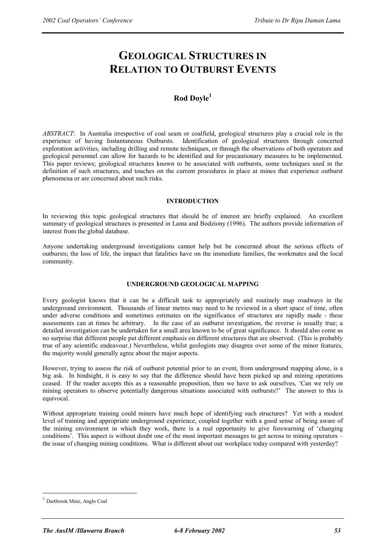# **GEOLOGICAL STRUCTURES IN RELATION TO OUTBURST EVENTS**

## **Rod Doyle1**

*ABSTRACT*: In Australia irrespective of coal seam or coalfield, geological structures play a crucial role in the experience of having Instantaneous Outbursts. Identification of geological structures through concerted exploration activities, including drilling and remote techniques, or through the observations of both operators and geological personnel can allow for hazards to be identified and for precautionary measures to be implemented. This paper reviews; geological structures known to be associated with outbursts, some techniques used in the definition of such structures, and touches on the current procedures in place at mines that experience outburst phenomena or are concerned about such risks.

#### **INTRODUCTION**

In reviewing this topic geological structures that should be of interest are briefly explained. An excellent summary of geological structures is presented in Lama and Bodziony (1996). The authors provide information of interest from the global database.

Anyone undertaking underground investigations cannot help but be concerned about the serious effects of outbursts; the loss of life, the impact that fatalities have on the immediate families, the workmates and the local community.

### **UNDERGROUND GEOLOGICAL MAPPING**

Every geologist knows that it can be a difficult task to appropriately and routinely map roadways in the underground environment. Thousands of linear metres may need to be reviewed in a short space of time, often under adverse conditions and sometimes estimates on the significance of structures are rapidly made - these assessments can at times be arbitrary. In the case of an outburst investigation, the reverse is usually true; a detailed investigation can be undertaken for a small area known to be of great significance. It should also come as no surprise that different people put different emphasis on different structures that are observed. (This is probably true of any scientific endeavour.) Nevertheless, whilst geologists may disagree over some of the minor features, the majority would generally agree about the major aspects.

However, trying to assess the risk of outburst potential prior to an event, from underground mapping alone, is a big ask. In hindsight, it is easy to say that the difference should have been picked up and mining operations ceased. If the reader accepts this as a reasonable proposition, then we have to ask ourselves, 'Can we rely on mining operators to observe potentially dangerous situations associated with outbursts?' The answer to this is equivocal.

Without appropriate training could miners have much hope of identifying such structures? Yet with a modest level of training and appropriate underground experience, coupled together with a good sense of being aware of the mining environment in which they work, there is a real opportunity to give forewarning of 'changing conditions'. This aspect is without doubt one of the most important messages to get across to mining operators – the issue of changing mining conditions. What is different about our workplace today compared with yesterday?

 $\overline{a}$ 

Dartbrook Mine, Anglo Coal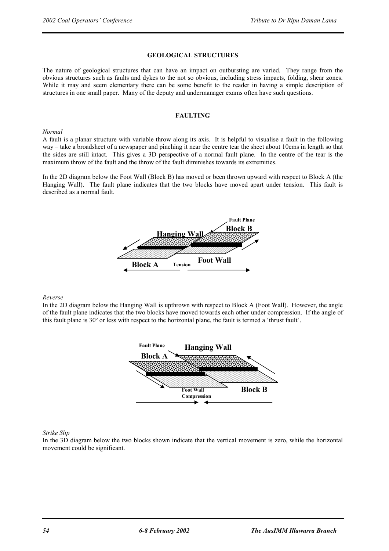#### **GEOLOGICAL STRUCTURES**

The nature of geological structures that can have an impact on outbursting are varied. They range from the obvious structures such as faults and dykes to the not so obvious, including stress impacts, folding, shear zones. While it may and seem elementary there can be some benefit to the reader in having a simple description of structures in one small paper. Many of the deputy and undermanager exams often have such questions.

#### **FAULTING**

#### *Normal*

A fault is a planar structure with variable throw along its axis. It is helpful to visualise a fault in the following way – take a broadsheet of a newspaper and pinching it near the centre tear the sheet about 10cms in length so that the sides are still intact. This gives a 3D perspective of a normal fault plane. In the centre of the tear is the maximum throw of the fault and the throw of the fault diminishes towards its extremities.

In the 2D diagram below the Foot Wall (Block B) has moved or been thrown upward with respect to Block A (the Hanging Wall). The fault plane indicates that the two blocks have moved apart under tension. This fault is described as a normal fault.



#### *Reverse*

In the 2D diagram below the Hanging Wall is upthrown with respect to Block A (Foot Wall). However, the angle of the fault plane indicates that the two blocks have moved towards each other under compression. If the angle of this fault plane is 30º or less with respect to the horizontal plane, the fault is termed a 'thrust fault'.



#### *Strike Slip*

In the 3D diagram below the two blocks shown indicate that the vertical movement is zero, while the horizontal movement could be significant.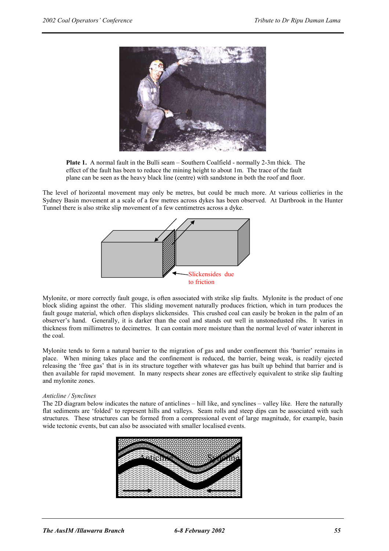



The level of horizontal movement may only be metres, but could be much more. At various collieries in the Sydney Basin movement at a scale of a few metres across dykes has been observed. At Dartbrook in the Hunter Tunnel there is also strike slip movement of a few centimetres across a dyke.



Mylonite, or more correctly fault gouge, is often associated with strike slip faults. Mylonite is the product of one block sliding against the other. This sliding movement naturally produces friction, which in turn produces the fault gouge material, which often displays slickensides. This crushed coal can easily be broken in the palm of an observer's hand. Generally, it is darker than the coal and stands out well in unstonedusted ribs. It varies in thickness from millimetres to decimetres. It can contain more moisture than the normal level of water inherent in the coal.

Mylonite tends to form a natural barrier to the migration of gas and under confinement this 'barrier' remains in place. When mining takes place and the confinement is reduced, the barrier, being weak, is readily ejected releasing the 'free gas' that is in its structure together with whatever gas has built up behind that barrier and is then available for rapid movement. In many respects shear zones are effectively equivalent to strike slip faulting and mylonite zones.

#### *Anticline / Synclines*

The 2D diagram below indicates the nature of anticlines – hill like, and synclines – valley like. Here the naturally flat sediments are 'folded' to represent hills and valleys. Seam rolls and steep dips can be associated with such structures. These structures can be formed from a compressional event of large magnitude, for example, basin wide tectonic events, but can also be associated with smaller localised events.

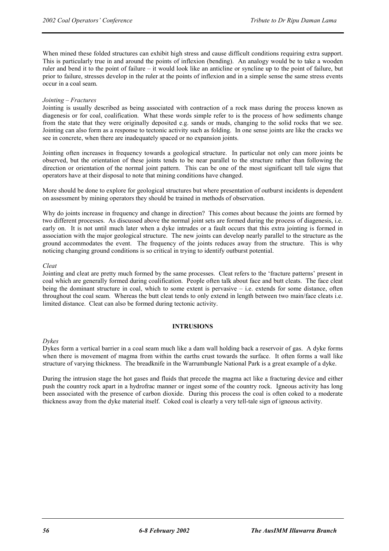When mined these folded structures can exhibit high stress and cause difficult conditions requiring extra support. This is particularly true in and around the points of inflexion (bending). An analogy would be to take a wooden ruler and bend it to the point of failure – it would look like an anticline or syncline up to the point of failure, but prior to failure, stresses develop in the ruler at the points of inflexion and in a simple sense the same stress events occur in a coal seam.

#### *Jointing – Fractures*

Jointing is usually described as being associated with contraction of a rock mass during the process known as diagenesis or for coal, coalification. What these words simple refer to is the process of how sediments change from the state that they were originally deposited e.g. sands or muds, changing to the solid rocks that we see. Jointing can also form as a response to tectonic activity such as folding. In one sense joints are like the cracks we see in concrete, when there are inadequately spaced or no expansion joints.

Jointing often increases in frequency towards a geological structure. In particular not only can more joints be observed, but the orientation of these joints tends to be near parallel to the structure rather than following the direction or orientation of the normal joint pattern. This can be one of the most significant tell tale signs that operators have at their disposal to note that mining conditions have changed.

More should be done to explore for geological structures but where presentation of outburst incidents is dependent on assessment by mining operators they should be trained in methods of observation.

Why do joints increase in frequency and change in direction? This comes about because the joints are formed by two different processes. As discussed above the normal joint sets are formed during the process of diagenesis, i.e. early on. It is not until much later when a dyke intrudes or a fault occurs that this extra jointing is formed in association with the major geological structure. The new joints can develop nearly parallel to the structure as the ground accommodates the event. The frequency of the joints reduces away from the structure. This is why noticing changing ground conditions is so critical in trying to identify outburst potential.

#### *Cleat*

Jointing and cleat are pretty much formed by the same processes. Cleat refers to the 'fracture patterns' present in coal which are generally formed during coalification. People often talk about face and butt cleats. The face cleat being the dominant structure in coal, which to some extent is pervasive – i.e. extends for some distance, often throughout the coal seam. Whereas the butt cleat tends to only extend in length between two main/face cleats i.e. limited distance. Cleat can also be formed during tectonic activity.

#### **INTRUSIONS**

#### *Dykes*

Dykes form a vertical barrier in a coal seam much like a dam wall holding back a reservoir of gas. A dyke forms when there is movement of magma from within the earths crust towards the surface. It often forms a wall like structure of varying thickness. The breadknife in the Warrumbungle National Park is a great example of a dyke.

During the intrusion stage the hot gases and fluids that precede the magma act like a fracturing device and either push the country rock apart in a hydrofrac manner or ingest some of the country rock. Igneous activity has long been associated with the presence of carbon dioxide. During this process the coal is often coked to a moderate thickness away from the dyke material itself. Coked coal is clearly a very tell-tale sign of igneous activity.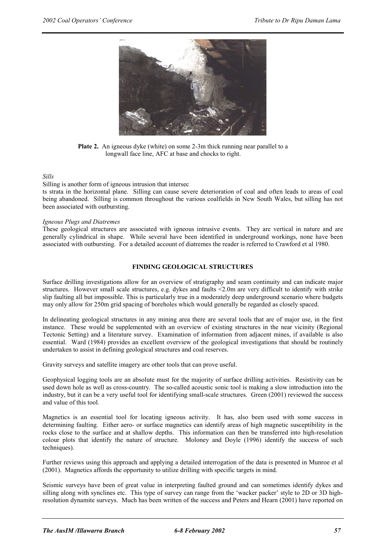

**Plate 2.** An igneous dyke (white) on some 2-3m thick running near parallel to a longwall face line, AFC at base and chocks to right.

#### *Sills*

Silling is another form of igneous intrusion that intersec ts strata in the horizontal plane. Silling can cause severe deterioration of coal and often leads to areas of coal being abandoned. Silling is common throughout the various coalfields in New South Wales, but silling has not been associated with outbursting.

#### *Igneous Plugs and Diatremes*

These geological structures are associated with igneous intrusive events. They are vertical in nature and are generally cylindrical in shape. While several have been identified in underground workings, none have been associated with outbursting. For a detailed account of diatremes the reader is referred to Crawford et al 1980.

#### **FINDING GEOLOGICAL STRUCTURES**

Surface drilling investigations allow for an overview of stratigraphy and seam continuity and can indicate major structures. However small scale structures, e.g. dykes and faults <2.0m are very difficult to identify with strike slip faulting all but impossible. This is particularly true in a moderately deep underground scenario where budgets may only allow for 250m grid spacing of boreholes which would generally be regarded as closely spaced.

In delineating geological structures in any mining area there are several tools that are of major use, in the first instance. These would be supplemented with an overview of existing structures in the near vicinity (Regional Tectonic Setting) and a literature survey. Examination of information from adjacent mines, if available is also essential. Ward (1984) provides an excellent overview of the geological investigations that should be routinely undertaken to assist in defining geological structures and coal reserves.

Gravity surveys and satellite imagery are other tools that can prove useful.

Geophysical logging tools are an absolute must for the majority of surface drilling activities. Resistivity can be used down hole as well as cross-country. The so-called acoustic sonic tool is making a slow introduction into the industry, but it can be a very useful tool for identifying small-scale structures. Green (2001) reviewed the success and value of this tool.

Magnetics is an essential tool for locating igneous activity. It has, also been used with some success in determining faulting. Either aero- or surface magnetics can identify areas of high magnetic susceptibility in the rocks close to the surface and at shallow depths. This information can then be transferred into high-resolution colour plots that identify the nature of structure. Moloney and Doyle (1996) identify the success of such techniques).

Further reviews using this approach and applying a detailed interrogation of the data is presented in Munroe et al (2001). Magnetics affords the opportunity to utilize drilling with specific targets in mind.

Seismic surveys have been of great value in interpreting faulted ground and can sometimes identify dykes and silling along with synclines etc. This type of survey can range from the 'wacker packer' style to 2D or 3D highresolution dynamite surveys. Much has been written of the success and Peters and Hearn (2001) have reported on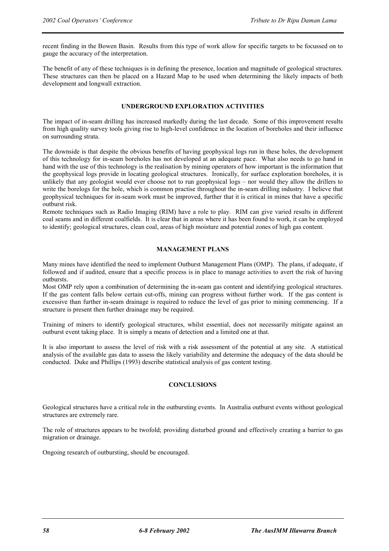recent finding in the Bowen Basin. Results from this type of work allow for specific targets to be focussed on to gauge the accuracy of the interpretation.

The benefit of any of these techniques is in defining the presence, location and magnitude of geological structures. These structures can then be placed on a Hazard Map to be used when determining the likely impacts of both development and longwall extraction.

#### **UNDERGROUND EXPLORATION ACTIVITIES**

The impact of in-seam drilling has increased markedly during the last decade. Some of this improvement results from high quality survey tools giving rise to high-level confidence in the location of boreholes and their influence on surrounding strata.

The downside is that despite the obvious benefits of having geophysical logs run in these holes, the development of this technology for in-seam boreholes has not developed at an adequate pace. What also needs to go hand in hand with the use of this technology is the realisation by mining operators of how important is the information that the geophysical logs provide in locating geological structures. Ironically, for surface exploration boreholes, it is unlikely that any geologist would ever choose not to run geophysical logs – nor would they allow the drillers to write the borelogs for the hole, which is common practise throughout the in-seam drilling industry. I believe that geophysical techniques for in-seam work must be improved, further that it is critical in mines that have a specific outburst risk.

Remote techniques such as Radio Imaging (RIM) have a role to play. RIM can give varied results in different coal seams and in different coalfields. It is clear that in areas where it has been found to work, it can be employed to identify; geological structures, clean coal, areas of high moisture and potential zones of high gas content.

#### **MANAGEMENT PLANS**

Many mines have identified the need to implement Outburst Management Plans (OMP). The plans, if adequate, if followed and if audited, ensure that a specific process is in place to manage activities to avert the risk of having outbursts.

Most OMP rely upon a combination of determining the in-seam gas content and identifying geological structures. If the gas content falls below certain cut-offs, mining can progress without further work. If the gas content is excessive than further in-seam drainage is required to reduce the level of gas prior to mining commencing. If a structure is present then further drainage may be required.

Training of miners to identify geological structures, whilst essential, does not necessarily mitigate against an outburst event taking place. It is simply a means of detection and a limited one at that.

It is also important to assess the level of risk with a risk assessment of the potential at any site. A statistical analysis of the available gas data to assess the likely variability and determine the adequacy of the data should be conducted. Duke and Phillips (1993) describe statistical analysis of gas content testing.

#### **CONCLUSIONS**

Geological structures have a critical role in the outbursting events. In Australia outburst events without geological structures are extremely rare.

The role of structures appears to be twofold; providing disturbed ground and effectively creating a barrier to gas migration or drainage.

Ongoing research of outbursting, should be encouraged.